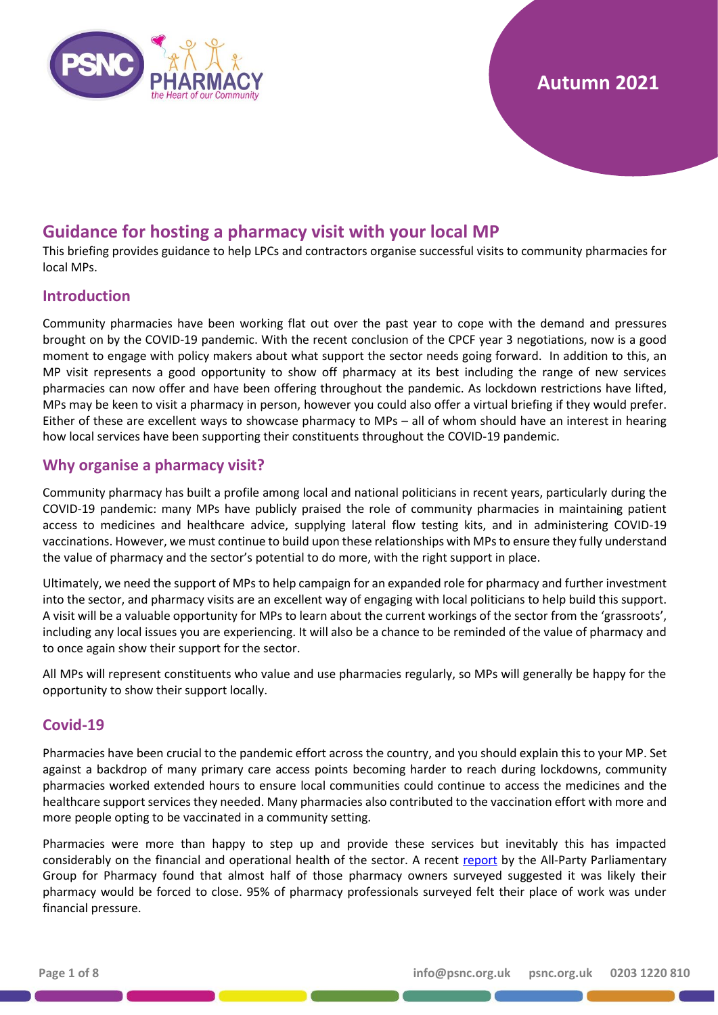

# **Autumn 2021**

# **Guidance for hosting a pharmacy visit with your local MP**

This briefing provides guidance to help LPCs and contractors organise successful visits to community pharmacies for local MPs.

## **Introduction**

Community pharmacies have been working flat out over the past year to cope with the demand and pressures brought on by the COVID-19 pandemic. With the recent conclusion of the CPCF year 3 negotiations, now is a good moment to engage with policy makers about what support the sector needs going forward. In addition to this, an MP visit represents a good opportunity to show off pharmacy at its best including the range of new services pharmacies can now offer and have been offering throughout the pandemic. As lockdown restrictions have lifted, MPs may be keen to visit a pharmacy in person, however you could also offer a virtual briefing if they would prefer. Either of these are excellent ways to showcase pharmacy to MPs – all of whom should have an interest in hearing how local services have been supporting their constituents throughout the COVID-19 pandemic.

## **Why organise a pharmacy visit?**

Community pharmacy has built a profile among local and national politicians in recent years, particularly during the COVID-19 pandemic: many MPs have publicly praised the role of community pharmacies in maintaining patient access to medicines and healthcare advice, supplying lateral flow testing kits, and in administering COVID-19 vaccinations. However, we must continue to build upon these relationships with MPs to ensure they fully understand the value of pharmacy and the sector's potential to do more, with the right support in place.

Ultimately, we need the support of MPs to help campaign for an expanded role for pharmacy and further investment into the sector, and pharmacy visits are an excellent way of engaging with local politicians to help build this support. A visit will be a valuable opportunity for MPs to learn about the current workings of the sector from the 'grassroots', including any local issues you are experiencing. It will also be a chance to be reminded of the value of pharmacy and to once again show their support for the sector.

All MPs will represent constituents who value and use pharmacies regularly, so MPs will generally be happy for the opportunity to show their support locally.

## **Covid-19**

Pharmacies have been crucial to the pandemic effort across the country, and you should explain this to your MP. Set against a backdrop of many primary care access points becoming harder to reach during lockdowns, community pharmacies worked extended hours to ensure local communities could continue to access the medicines and the healthcare support services they needed. Many pharmacies also contributed to the vaccination effort with more and more people opting to be vaccinated in a community setting.

Pharmacies were more than happy to step up and provide these services but inevitably this has impacted considerably on the financial and operational health of the sector. A recent [report](https://www.pharmacyappg.co.uk/news/mps-call-for-more-government-support-as-pharmacies-warn-of-closures-within-a-year-all-party-pharmacy-group-finds) by the All-Party Parliamentary Group for Pharmacy found that almost half of those pharmacy owners surveyed suggested it was likely their pharmacy would be forced to close. 95% of pharmacy professionals surveyed felt their place of work was under financial pressure.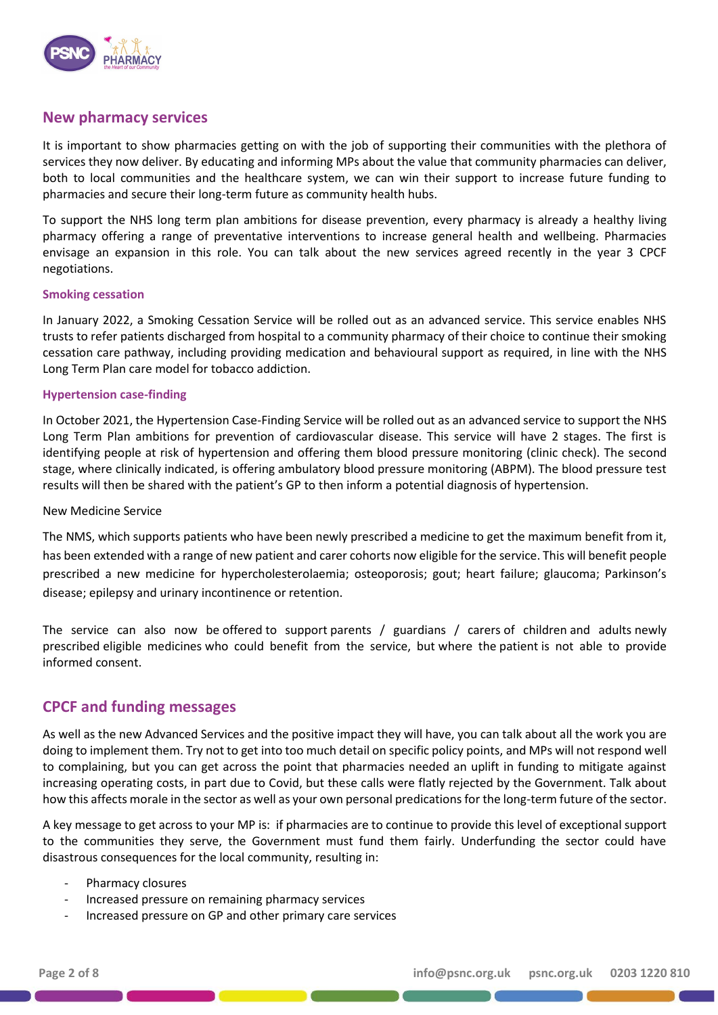

## **New pharmacy services**

It is important to show pharmacies getting on with the job of supporting their communities with the plethora of services they now deliver. By educating and informing MPs about the value that community pharmacies can deliver, both to local communities and the healthcare system, we can win their support to increase future funding to pharmacies and secure their long-term future as community health hubs.

To support the NHS long term plan ambitions for disease prevention, every pharmacy is already a healthy living pharmacy offering a range of preventative interventions to increase general health and wellbeing. Pharmacies envisage an expansion in this role. You can talk about the new services agreed recently in the year 3 CPCF negotiations.

#### **Smoking cessation**

In January 2022, a Smoking Cessation Service will be rolled out as an advanced service. This service enables NHS trusts to refer patients discharged from hospital to a community pharmacy of their choice to continue their smoking cessation care pathway, including providing medication and behavioural support as required, in line with the NHS Long Term Plan care model for tobacco addiction.

#### **Hypertension case-finding**

In October 2021, the Hypertension Case-Finding Service will be rolled out as an advanced service to support the NHS Long Term Plan ambitions for prevention of cardiovascular disease. This service will have 2 stages. The first is identifying people at risk of hypertension and offering them blood pressure monitoring (clinic check). The second stage, where clinically indicated, is offering ambulatory blood pressure monitoring (ABPM). The blood pressure test results will then be shared with the patient's GP to then inform a potential diagnosis of hypertension.

#### New Medicine Service

The NMS, which supports patients who have been newly prescribed a medicine to get the maximum benefit from it, has been extended with a range of new patient and carer cohorts now eligible for the service. This will benefit people prescribed a new medicine for hypercholesterolaemia; osteoporosis; gout; heart failure; glaucoma; Parkinson's disease; epilepsy and urinary incontinence or retention.

The service can also now be offered to support parents / guardians / carers of children and adults newly prescribed eligible medicines who could benefit from the service, but where the patient is not able to provide informed consent.

## **CPCF and funding messages**

As well as the new Advanced Services and the positive impact they will have, you can talk about all the work you are doing to implement them. Try not to get into too much detail on specific policy points, and MPs will not respond well to complaining, but you can get across the point that pharmacies needed an uplift in funding to mitigate against increasing operating costs, in part due to Covid, but these calls were flatly rejected by the Government. Talk about how this affects morale in the sector as well as your own personal predications for the long-term future of the sector.

A key message to get across to your MP is: if pharmacies are to continue to provide this level of exceptional support to the communities they serve, the Government must fund them fairly. Underfunding the sector could have disastrous consequences for the local community, resulting in:

- Pharmacy closures
- Increased pressure on remaining pharmacy services
- Increased pressure on GP and other primary care services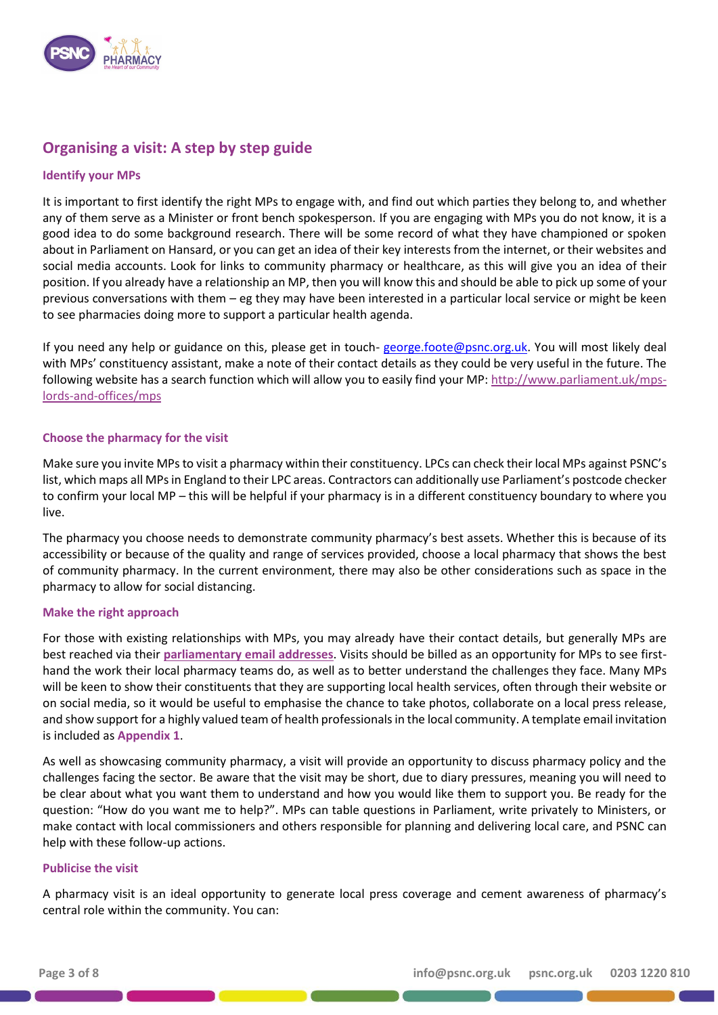

## **Organising a visit: A step by step guide**

## **Identify your MPs**

It is important to first identify the right MPs to engage with, and find out which parties they belong to, and whether any of them serve as a Minister or front bench spokesperson. If you are engaging with MPs you do not know, it is a good idea to do some background research. There will be some record of what they have championed or spoken about in Parliament on Hansard, or you can get an idea of their key interests from the internet, or their websites and social media accounts. Look for links to community pharmacy or healthcare, as this will give you an idea of their position. If you already have a relationship an MP, then you will know this and should be able to pick up some of your previous conversations with them – eg they may have been interested in a particular local service or might be keen to see pharmacies doing more to support a particular health agenda.

If you need any help or guidance on this, please get in touch- [george.foote@psnc.org.uk.](mailto:george.foote@psnc.org.uk) You will most likely deal with MPs' constituency assistant, make a note of their contact details as they could be very useful in the future. The following website has a search function which will allow you to easily find your MP: [http://www.parliament.uk/mps](http://www.parliament.uk/mps-lords-and-offices/mps)[lords-and-offices/mps](http://www.parliament.uk/mps-lords-and-offices/mps)

### **Choose the pharmacy for the visit**

Make sure you invite MPs to visit a pharmacy within their constituency. LPCs can check their local MPs against PSNC's list, which maps all MPs in England to their LPC areas. Contractors can additionally use Parliament's postcode checker to confirm your local MP – this will be helpful if your pharmacy is in a different constituency boundary to where you live.

The pharmacy you choose needs to demonstrate community pharmacy's best assets. Whether this is because of its accessibility or because of the quality and range of services provided, choose a local pharmacy that shows the best of community pharmacy. In the current environment, there may also be other considerations such as space in the pharmacy to allow for social distancing.

### **Make the right approach**

For those with existing relationships with MPs, you may already have their contact details, but generally MPs are best reached via their **[parliamentary email addresses](https://members.parliament.uk/members/Commons)**. Visits should be billed as an opportunity for MPs to see firsthand the work their local pharmacy teams do, as well as to better understand the challenges they face. Many MPs will be keen to show their constituents that they are supporting local health services, often through their website or on social media, so it would be useful to emphasise the chance to take photos, collaborate on a local press release, and show support for a highly valued team of health professionals in the local community. A template email invitation is included as **Appendix 1**.

As well as showcasing community pharmacy, a visit will provide an opportunity to discuss pharmacy policy and the challenges facing the sector. Be aware that the visit may be short, due to diary pressures, meaning you will need to be clear about what you want them to understand and how you would like them to support you. Be ready for the question: "How do you want me to help?". MPs can table questions in Parliament, write privately to Ministers, or make contact with local commissioners and others responsible for planning and delivering local care, and PSNC can help with these follow-up actions.

### **Publicise the visit**

A pharmacy visit is an ideal opportunity to generate local press coverage and cement awareness of pharmacy's central role within the community. You can: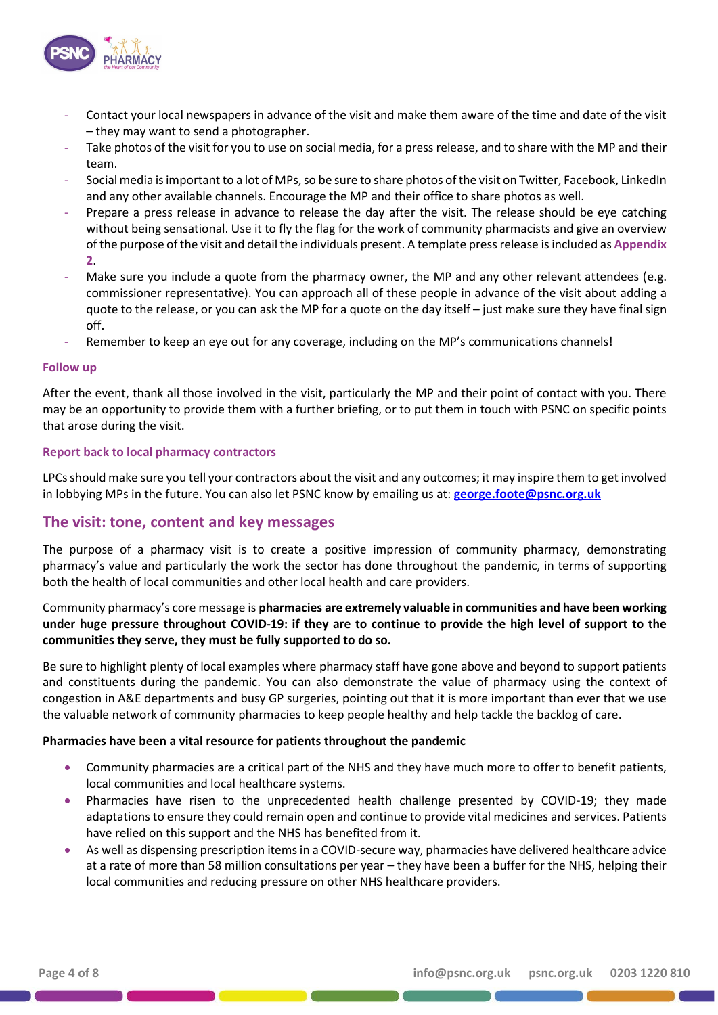

- Contact your local newspapers in advance of the visit and make them aware of the time and date of the visit – they may want to send a photographer.
- Take photos of the visit for you to use on social media, for a press release, and to share with the MP and their team.
- Social media is important to a lot of MPs, so be sure to share photos of the visit on Twitter, Facebook, LinkedIn and any other available channels. Encourage the MP and their office to share photos as well.
- Prepare a press release in advance to release the day after the visit. The release should be eye catching without being sensational. Use it to fly the flag for the work of community pharmacists and give an overview of the purpose of the visit and detail the individuals present. A template press release is included as **Appendix 2**.
- Make sure you include a quote from the pharmacy owner, the MP and any other relevant attendees (e.g. commissioner representative). You can approach all of these people in advance of the visit about adding a quote to the release, or you can ask the MP for a quote on the day itself – just make sure they have final sign off.
- Remember to keep an eye out for any coverage, including on the MP's communications channels!

### **Follow up**

After the event, thank all those involved in the visit, particularly the MP and their point of contact with you. There may be an opportunity to provide them with a further briefing, or to put them in touch with PSNC on specific points that arose during the visit.

#### **Report back to local pharmacy contractors**

LPCs should make sure you tell your contractors about the visit and any outcomes; it may inspire them to get involved in lobbying MPs in the future. You can also let PSNC know by emailing us at: **[george.foote@psnc.org.uk](mailto:george.foote@psnc.org.uk)**

## **The visit: tone, content and key messages**

The purpose of a pharmacy visit is to create a positive impression of community pharmacy, demonstrating pharmacy's value and particularly the work the sector has done throughout the pandemic, in terms of supporting both the health of local communities and other local health and care providers.

## Community pharmacy's core message is **pharmacies are extremely valuable in communities and have been working under huge pressure throughout COVID-19: if they are to continue to provide the high level of support to the communities they serve, they must be fully supported to do so.**

Be sure to highlight plenty of local examples where pharmacy staff have gone above and beyond to support patients and constituents during the pandemic. You can also demonstrate the value of pharmacy using the context of congestion in A&E departments and busy GP surgeries, pointing out that it is more important than ever that we use the valuable network of community pharmacies to keep people healthy and help tackle the backlog of care.

### **Pharmacies have been a vital resource for patients throughout the pandemic**

- Community pharmacies are a critical part of the NHS and they have much more to offer to benefit patients, local communities and local healthcare systems.
- Pharmacies have risen to the unprecedented health challenge presented by COVID-19; they made adaptations to ensure they could remain open and continue to provide vital medicines and services. Patients have relied on this support and the NHS has benefited from it.
- As well as dispensing prescription items in a COVID-secure way, pharmacies have delivered healthcare advice at a rate of more than 58 million consultations per year – they have been a buffer for the NHS, helping their local communities and reducing pressure on other NHS healthcare providers.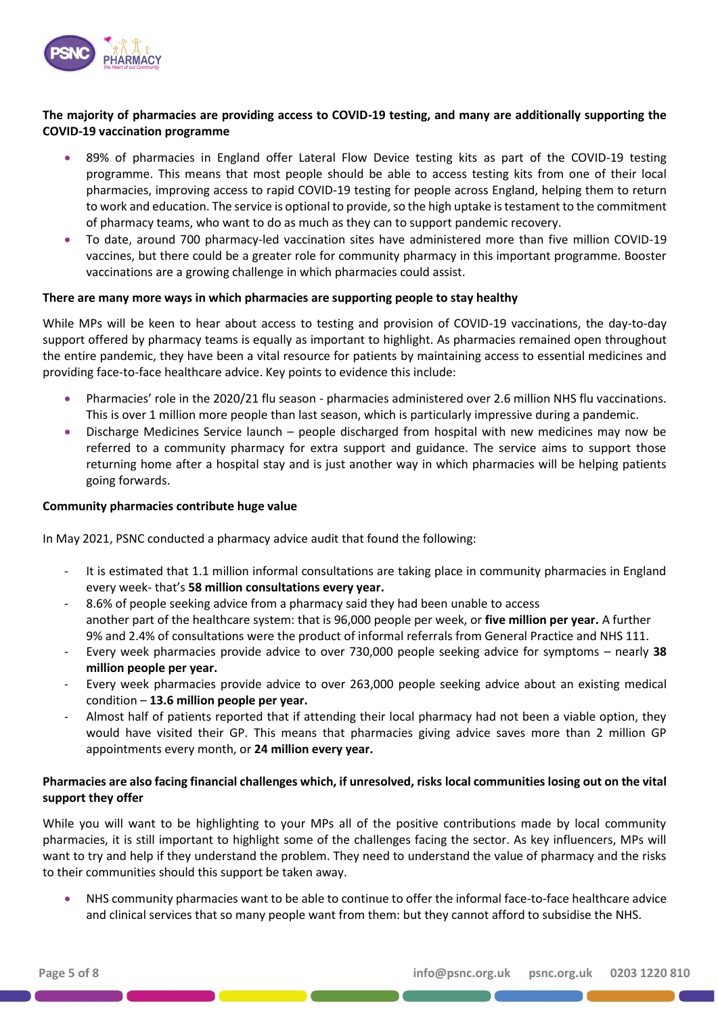

## **The majority of pharmacies are providing access to COVID-19 testing, and many are additionally supporting the COVID-19 vaccination programme**

- 89% of pharmacies in England offer Lateral Flow Device testing kits as part of the COVID-19 testing programme. This means that most people should be able to access testing kits from one of their local pharmacies, improving access to rapid COVID-19 testing for people across England, helping them to return to work and education. The service is optional to provide, so the high uptake is testament to the commitment of pharmacy teams, who want to do as much as they can to support pandemic recovery.
- To date, around 700 pharmacy-led vaccination sites have administered more than five million COVID-19 vaccines, but there could be a greater role for community pharmacy in this important programme. Booster vaccinations are a growing challenge in which pharmacies could assist.

#### **There are many more ways in which pharmacies are supporting people to stay healthy**

While MPs will be keen to hear about access to testing and provision of COVID-19 vaccinations, the day-to-day support offered by pharmacy teams is equally as important to highlight. As pharmacies remained open throughout the entire pandemic, they have been a vital resource for patients by maintaining access to essential medicines and providing face-to-face healthcare advice. Key points to evidence this include:

- Pharmacies' role in the 2020/21 flu season pharmacies administered over 2.6 million NHS flu vaccinations. This is over 1 million more people than last season, which is particularly impressive during a pandemic.
- Discharge Medicines Service launch people discharged from hospital with new medicines may now be referred to a community pharmacy for extra support and guidance. The service aims to support those returning home after a hospital stay and is just another way in which pharmacies will be helping patients going forwards.

#### **Community pharmacies contribute huge value**

In May 2021, PSNC conducted a pharmacy advice audit that found the following:

- It is estimated that 1.1 million informal consultations are taking place in community pharmacies in England every week- that's **58 million consultations every year.**
- 8.6% of people seeking advice from a pharmacy said they had been unable to access another part of the healthcare system: that is 96,000 people per week, or **five million per year.** A further 9% and 2.4% of consultations were the product of informal referrals from General Practice and NHS 111.
- Every week pharmacies provide advice to over 730,000 people seeking advice for symptoms nearly **38 million people per year.**
- Every week pharmacies provide advice to over 263,000 people seeking advice about an existing medical condition – **13.6 million people per year.**
- Almost half of patients reported that if attending their local pharmacy had not been a viable option, they would have visited their GP. This means that pharmacies giving advice saves more than 2 million GP appointments every month, or **24 million every year.**

### **Pharmacies are also facing financial challenges which, if unresolved, risks local communities losing out on the vital support they offer**

While you will want to be highlighting to your MPs all of the positive contributions made by local community pharmacies, it is still important to highlight some of the challenges facing the sector. As key influencers, MPs will want to try and help if they understand the problem. They need to understand the value of pharmacy and the risks to their communities should this support be taken away.

• NHS community pharmacies want to be able to continue to offer the informal face-to-face healthcare advice and clinical services that so many people want from them: but they cannot afford to subsidise the NHS.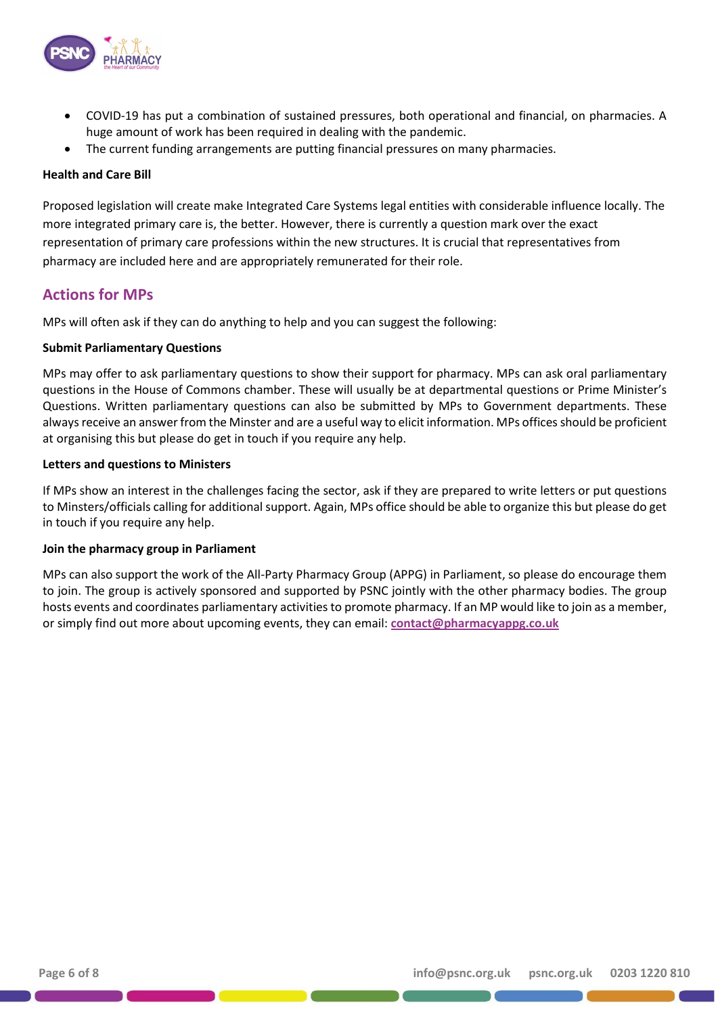

- COVID-19 has put a combination of sustained pressures, both operational and financial, on pharmacies. A huge amount of work has been required in dealing with the pandemic.
- The current funding arrangements are putting financial pressures on many pharmacies.

## **Health and Care Bill**

Proposed legislation will create make Integrated Care Systems legal entities with considerable influence locally. The more integrated primary care is, the better. However, there is currently a question mark over the exact representation of primary care professions within the new structures. It is crucial that representatives from pharmacy are included here and are appropriately remunerated for their role.

## **Actions for MPs**

MPs will often ask if they can do anything to help and you can suggest the following:

### **Submit Parliamentary Questions**

MPs may offer to ask parliamentary questions to show their support for pharmacy. MPs can ask oral parliamentary questions in the House of Commons chamber. These will usually be at departmental questions or Prime Minister's Questions. Written parliamentary questions can also be submitted by MPs to Government departments. These always receive an answer from the Minster and are a useful way to elicit information. MPs offices should be proficient at organising this but please do get in touch if you require any help.

## **Letters and questions to Ministers**

If MPs show an interest in the challenges facing the sector, ask if they are prepared to write letters or put questions to Minsters/officials calling for additional support. Again, MPs office should be able to organize this but please do get in touch if you require any help.

### **Join the pharmacy group in Parliament**

MPs can also support the work of the All-Party Pharmacy Group (APPG) in Parliament, so please do encourage them to join. The group is actively sponsored and supported by PSNC jointly with the other pharmacy bodies. The group hosts events and coordinates parliamentary activities to promote pharmacy. If an MP would like to join as a member, or simply find out more about upcoming events, they can email: **[contact@pharmacyappg.co.uk](mailto:contact@pharmacyappg.co.uk)**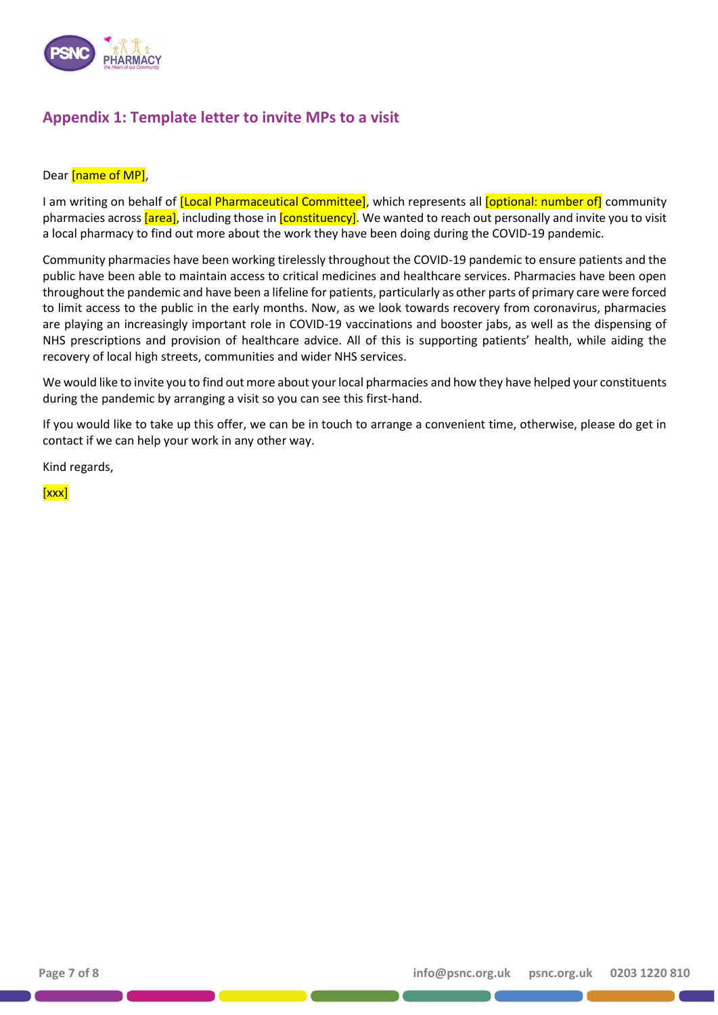

## **Appendix 1: Template letter to invite MPs to a visit**

#### Dear [name of MP],

I am writing on behalf of *[Local Pharmaceutical Committee]*, which represents all *[optional: number of]* community pharmacies across *[area]*, including those in *[constituency]*. We wanted to reach out personally and invite you to visit a local pharmacy to find out more about the work they have been doing during the COVID-19 pandemic.

Community pharmacies have been working tirelessly throughout the COVID-19 pandemic to ensure patients and the public have been able to maintain access to critical medicines and healthcare services. Pharmacies have been open throughout the pandemic and have been a lifeline for patients, particularly as other parts of primary care were forced to limit access to the public in the early months. Now, as we look towards recovery from coronavirus, pharmacies are playing an increasingly important role in COVID-19 vaccinations and booster jabs, as well as the dispensing of NHS prescriptions and provision of healthcare advice. All of this is supporting patients' health, while aiding the recovery of local high streets, communities and wider NHS services.

We would like to invite you to find out more about your local pharmacies and how they have helped your constituents during the pandemic by arranging a visit so you can see this first-hand.

If you would like to take up this offer, we can be in touch to arrange a convenient time, otherwise, please do get in contact if we can help your work in any other way.

Kind regards,

[xxx]